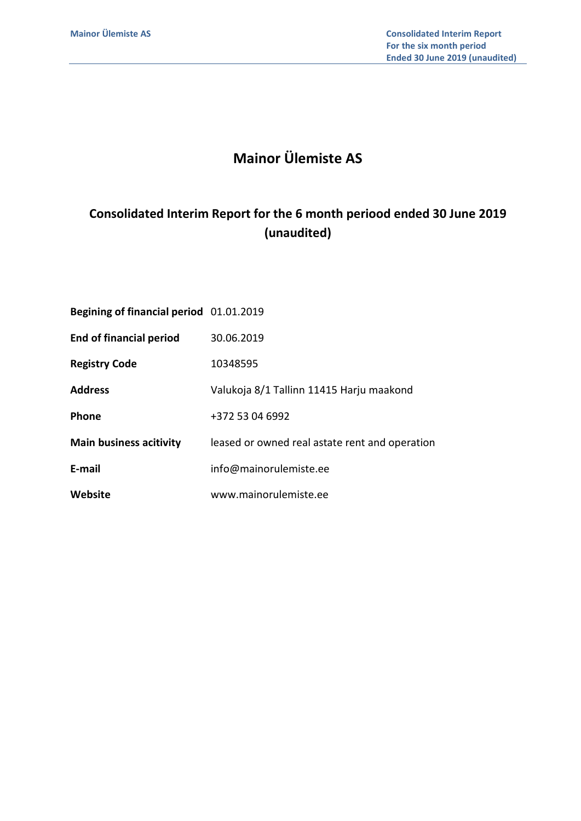# Mainor Ülemiste AS

# Consolidated Interim Report for the 6 month periood ended 30 June 2019 (unaudited)

| Begining of financial period 01.01.2019 |                                                |
|-----------------------------------------|------------------------------------------------|
| <b>End of financial period</b>          | 30.06.2019                                     |
| <b>Registry Code</b>                    | 10348595                                       |
| <b>Address</b>                          | Valukoja 8/1 Tallinn 11415 Harju maakond       |
| <b>Phone</b>                            | +372 53 04 6992                                |
| <b>Main business acitivity</b>          | leased or owned real astate rent and operation |
| E-mail                                  | info@mainorulemiste.ee                         |
| Website                                 | www.mainorulemiste.ee                          |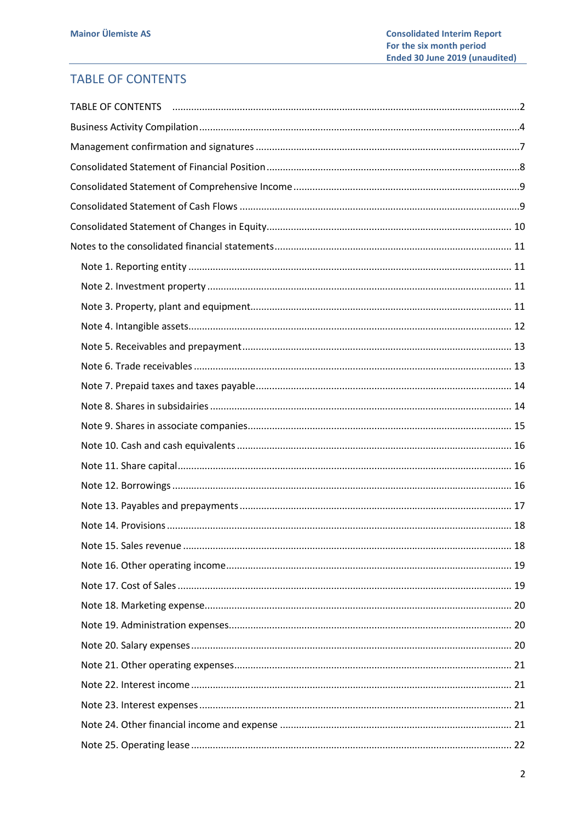# **TABLE OF CONTENTS**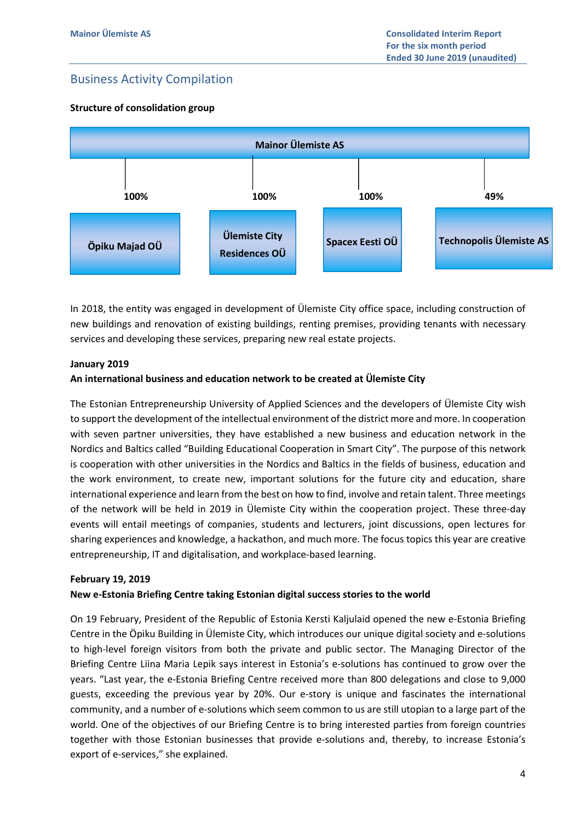# Business Activity Compilation

## Structure of consolidation group



In 2018, the entity was engaged in development of Ülemiste City office space, including construction of new buildings and renovation of existing buildings, renting premises, providing tenants with necessary services and developing these services, preparing new real estate projects.

#### January 2019

#### An international business and education network to be created at Ülemiste City

The Estonian Entrepreneurship University of Applied Sciences and the developers of Ülemiste City wish to support the development of the intellectual environment of the district more and more. In cooperation with seven partner universities, they have established a new business and education network in the Nordics and Baltics called "Building Educational Cooperation in Smart City". The purpose of this network is cooperation with other universities in the Nordics and Baltics in the fields of business, education and the work environment, to create new, important solutions for the future city and education, share international experience and learn from the best on how to find, involve and retain talent. Three meetings of the network will be held in 2019 in Ülemiste City within the cooperation project. These three-day events will entail meetings of companies, students and lecturers, joint discussions, open lectures for sharing experiences and knowledge, a hackathon, and much more. The focus topics this year are creative entrepreneurship, IT and digitalisation, and workplace-based learning.

#### February 19, 2019

#### New e-Estonia Briefing Centre taking Estonian digital success stories to the world

On 19 February, President of the Republic of Estonia Kersti Kaljulaid opened the new e-Estonia Briefing Centre in the Öpiku Building in Ülemiste City, which introduces our unique digital society and e-solutions to high-level foreign visitors from both the private and public sector. The Managing Director of the Briefing Centre Liina Maria Lepik says interest in Estonia's e-solutions has continued to grow over the years. "Last year, the e-Estonia Briefing Centre received more than 800 delegations and close to 9,000 guests, exceeding the previous year by 20%. Our e-story is unique and fascinates the international community, and a number of e-solutions which seem common to us are still utopian to a large part of the world. One of the objectives of our Briefing Centre is to bring interested parties from foreign countries together with those Estonian businesses that provide e-solutions and, thereby, to increase Estonia's export of e-services," she explained.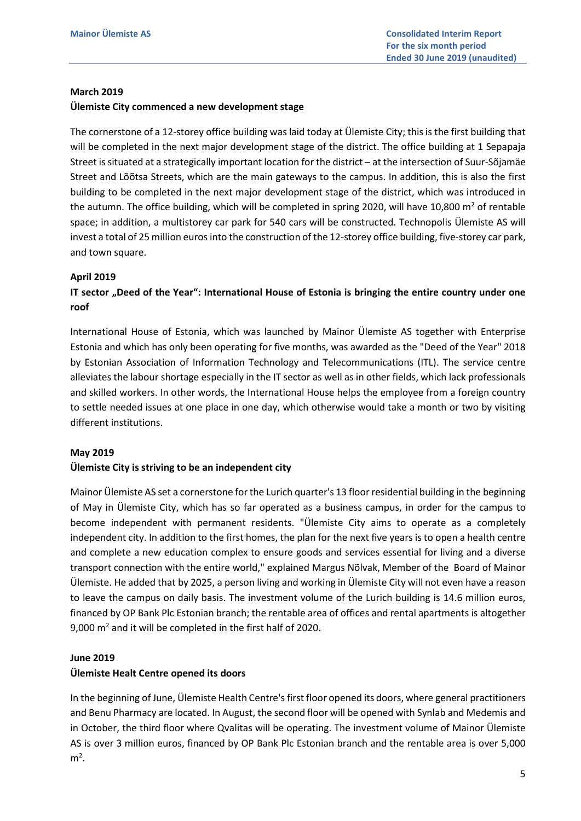#### March 2019

#### Ülemiste City commenced a new development stage

The cornerstone of a 12-storey office building was laid today at Ülemiste City; this is the first building that will be completed in the next major development stage of the district. The office building at 1 Sepapaja Street is situated at a strategically important location for the district – at the intersection of Suur-Sõjamäe Street and Lõõtsa Streets, which are the main gateways to the campus. In addition, this is also the first building to be completed in the next major development stage of the district, which was introduced in the autumn. The office building, which will be completed in spring 2020, will have 10,800 m² of rentable space; in addition, a multistorey car park for 540 cars will be constructed. Technopolis Ülemiste AS will invest a total of 25 million euros into the construction of the 12-storey office building, five-storey car park, and town square.

#### April 2019

## IT sector "Deed of the Year": International House of Estonia is bringing the entire country under one roof

International House of Estonia, which was launched by Mainor Ülemiste AS together with Enterprise Estonia and which has only been operating for five months, was awarded as the "Deed of the Year" 2018 by Estonian Association of Information Technology and Telecommunications (ITL). The service centre alleviates the labour shortage especially in the IT sector as well as in other fields, which lack professionals and skilled workers. In other words, the International House helps the employee from a foreign country to settle needed issues at one place in one day, which otherwise would take a month or two by visiting different institutions.

#### May 2019

#### Ülemiste City is striving to be an independent city

Mainor Ülemiste AS set a cornerstone for the Lurich quarter's 13 floor residential building in the beginning of May in Ülemiste City, which has so far operated as a business campus, in order for the campus to become independent with permanent residents. "Ülemiste City aims to operate as a completely independent city. In addition to the first homes, the plan for the next five years is to open a health centre and complete a new education complex to ensure goods and services essential for living and a diverse transport connection with the entire world," explained Margus Nõlvak, Member of the Board of Mainor Ülemiste. He added that by 2025, a person living and working in Ülemiste City will not even have a reason to leave the campus on daily basis. The investment volume of the Lurich building is 14.6 million euros, financed by OP Bank Plc Estonian branch; the rentable area of offices and rental apartments is altogether 9,000  $m<sup>2</sup>$  and it will be completed in the first half of 2020.

#### June 2019

#### Ülemiste Healt Centre opened its doors

In the beginning of June, Ülemiste Health Centre's first floor opened its doors, where general practitioners and Benu Pharmacy are located. In August, the second floor will be opened with Synlab and Medemis and in October, the third floor where Qvalitas will be operating. The investment volume of Mainor Ülemiste AS is over 3 million euros, financed by OP Bank Plc Estonian branch and the rentable area is over 5,000  $m<sup>2</sup>$ .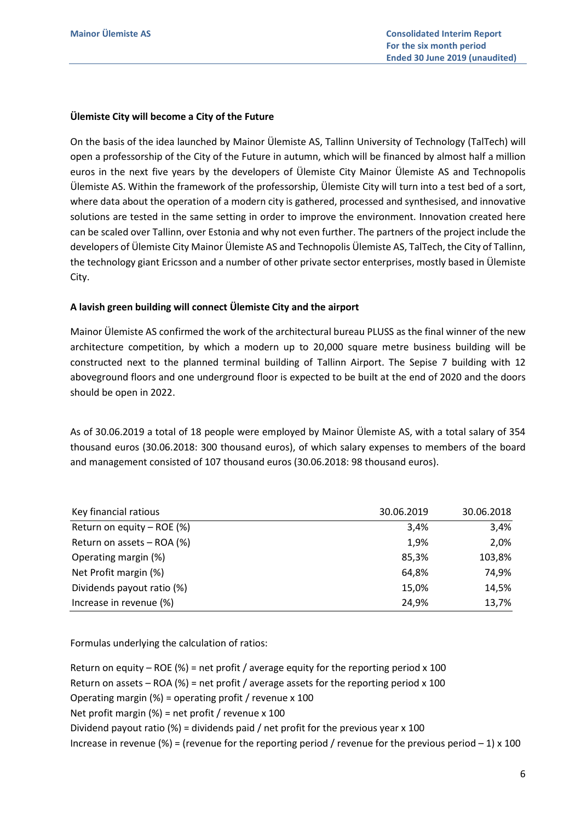#### Ülemiste City will become a City of the Future

On the basis of the idea launched by Mainor Ülemiste AS, Tallinn University of Technology (TalTech) will open a professorship of the City of the Future in autumn, which will be financed by almost half a million euros in the next five years by the developers of Ülemiste City Mainor Ülemiste AS and Technopolis Ülemiste AS. Within the framework of the professorship, Ülemiste City will turn into a test bed of a sort, where data about the operation of a modern city is gathered, processed and synthesised, and innovative solutions are tested in the same setting in order to improve the environment. Innovation created here can be scaled over Tallinn, over Estonia and why not even further. The partners of the project include the developers of Ülemiste City Mainor Ülemiste AS and Technopolis Ülemiste AS, TalTech, the City of Tallinn, the technology giant Ericsson and a number of other private sector enterprises, mostly based in Ülemiste City.

#### A lavish green building will connect Ülemiste City and the airport

Mainor Ülemiste AS confirmed the work of the architectural bureau PLUSS as the final winner of the new architecture competition, by which a modern up to 20,000 square metre business building will be constructed next to the planned terminal building of Tallinn Airport. The Sepise 7 building with 12 aboveground floors and one underground floor is expected to be built at the end of 2020 and the doors should be open in 2022.

As of 30.06.2019 a total of 18 people were employed by Mainor Ülemiste AS, with a total salary of 354 thousand euros (30.06.2018: 300 thousand euros), of which salary expenses to members of the board and management consisted of 107 thousand euros (30.06.2018: 98 thousand euros).

| Key financial ratious      | 30.06.2019 | 30.06.2018 |
|----------------------------|------------|------------|
| Return on equity – ROE (%) | 3,4%       | 3,4%       |
| Return on assets - ROA (%) | 1,9%       | 2,0%       |
| Operating margin (%)       | 85,3%      | 103,8%     |
| Net Profit margin (%)      | 64,8%      | 74,9%      |
| Dividends payout ratio (%) | 15,0%      | 14,5%      |
| Increase in revenue (%)    | 24,9%      | 13,7%      |

Formulas underlying the calculation of ratios:

Return on equity – ROE (%) = net profit / average equity for the reporting period  $x$  100 Return on assets – ROA (%) = net profit / average assets for the reporting period  $x$  100 Operating margin (%) = operating profit / revenue x 100 Net profit margin (%) = net profit / revenue x 100 Dividend payout ratio (%) = dividends paid / net profit for the previous year x 100 Increase in revenue (%) = (revenue for the reporting period / revenue for the previous period  $-1$ ) x 100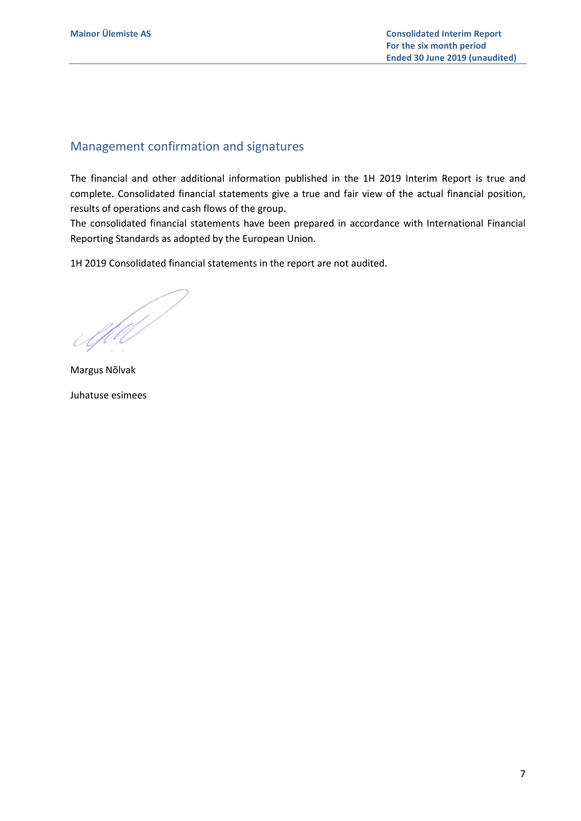# Management confirmation and signatures

The financial and other additional information published in the 1H 2019 Interim Report is true and complete. Consolidated financial statements give a true and fair view of the actual financial position, results of operations and cash flows of the group.

The consolidated financial statements have been prepared in accordance with International Financial Reporting Standards as adopted by the European Union.

1H 2019 Consolidated financial statements in the report are not audited.

Afil

Margus Nõlvak Juhatuse esimees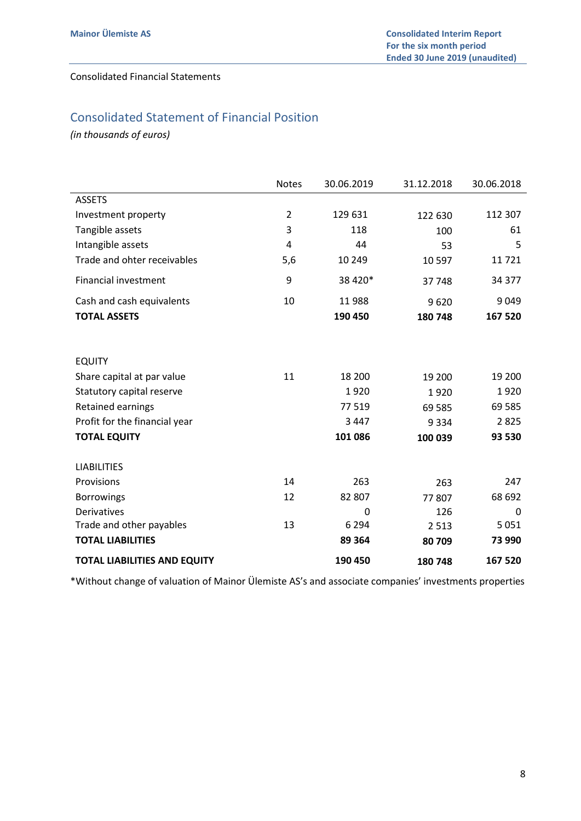## Consolidated Financial Statements

# Consolidated Statement of Financial Position

(in thousands of euros)

|                                     | <b>Notes</b>   | 30.06.2019 | 31.12.2018 | 30.06.2018 |
|-------------------------------------|----------------|------------|------------|------------|
| <b>ASSETS</b>                       |                |            |            |            |
| Investment property                 | $\overline{2}$ | 129 631    | 122 630    | 112 307    |
| Tangible assets                     | 3              | 118        | 100        | 61         |
| Intangible assets                   | 4              | 44         | 53         | 5          |
| Trade and ohter receivables         | 5,6            | 10 249     | 10 597     | 11721      |
| <b>Financial investment</b>         | 9              | 38 4 20*   | 37748      | 34 377     |
| Cash and cash equivalents           | 10             | 11988      | 9620       | 9 0 4 9    |
| <b>TOTAL ASSETS</b>                 |                | 190 450    | 180 748    | 167 520    |
|                                     |                |            |            |            |
| <b>EQUITY</b>                       |                |            |            |            |
| Share capital at par value          | 11             | 18 200     | 19 200     | 19 200     |
| Statutory capital reserve           |                | 1920       | 1920       | 1920       |
| Retained earnings                   |                | 77 519     | 69 585     | 69 5 85    |
| Profit for the financial year       |                | 3 4 4 7    | 9 3 3 4    | 2825       |
| <b>TOTAL EQUITY</b>                 |                | 101 086    | 100 039    | 93 530     |
| <b>LIABILITIES</b>                  |                |            |            |            |
| Provisions                          | 14             | 263        | 263        | 247        |
| <b>Borrowings</b>                   | 12             | 82 807     | 77807      | 68 692     |
| Derivatives                         |                | 0          | 126        | 0          |
| Trade and other payables            | 13             | 6 2 9 4    | 2 5 1 3    | 5 0 5 1    |
| <b>TOTAL LIABILITIES</b>            |                | 89 364     | 80709      | 73 990     |
| <b>TOTAL LIABILITIES AND EQUITY</b> |                | 190 450    | 180 748    | 167 520    |

\*Without change of valuation of Mainor Ülemiste AS's and associate companies' investments properties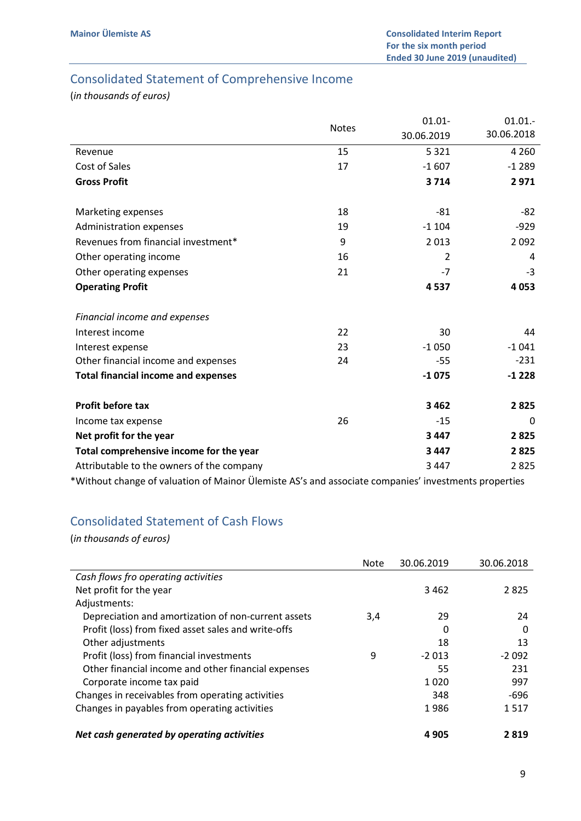# Consolidated Statement of Comprehensive Income

(in thousands of euros)

|                                            |              | $01.01 -$  | $01.01.-$  |
|--------------------------------------------|--------------|------------|------------|
|                                            | <b>Notes</b> | 30.06.2019 | 30.06.2018 |
| Revenue                                    | 15           | 5 3 2 1    | 4 2 6 0    |
| Cost of Sales                              | 17           | $-1607$    | $-1289$    |
| <b>Gross Profit</b>                        |              | 3714       | 2971       |
| Marketing expenses                         | 18           | $-81$      | -82        |
| Administration expenses                    | 19           | $-1104$    | $-929$     |
| Revenues from financial investment*        | 9            | 2013       | 2092       |
| Other operating income                     | 16           | 2          | 4          |
| Other operating expenses                   | 21           | $-7$       | -3         |
| <b>Operating Profit</b>                    |              | 4537       | 4 0 5 3    |
| Financial income and expenses              |              |            |            |
| Interest income                            | 22           | 30         | 44         |
| Interest expense                           | 23           | $-1050$    | $-1041$    |
| Other financial income and expenses        | 24           | -55        | $-231$     |
| <b>Total financial income and expenses</b> |              | $-1075$    | $-1228$    |
| <b>Profit before tax</b>                   |              | 3 4 6 2    | 2825       |
| Income tax expense                         | 26           | $-15$      | 0          |
| Net profit for the year                    |              | 3 4 4 7    | 2825       |
| Total comprehensive income for the year    |              | 3 4 4 7    | 2825       |
| Attributable to the owners of the company  |              | 3 4 4 7    | 2825       |
|                                            |              |            |            |

\*Without change of valuation of Mainor Ülemiste AS's and associate companies' investments properties

# Consolidated Statement of Cash Flows

|                                                     | <b>Note</b> | 30.06.2019 | 30.06.2018 |
|-----------------------------------------------------|-------------|------------|------------|
| Cash flows fro operating activities                 |             |            |            |
| Net profit for the year                             |             | 3462       | 2825       |
| Adjustments:                                        |             |            |            |
| Depreciation and amortization of non-current assets | 3,4         | 29         | 24         |
| Profit (loss) from fixed asset sales and write-offs |             | 0          | 0          |
| Other adjustments                                   |             | 18         | 13         |
| Profit (loss) from financial investments            | 9           | $-2013$    | $-2092$    |
| Other financial income and other financial expenses |             | 55         | 231        |
| Corporate income tax paid                           |             | 1020       | 997        |
| Changes in receivables from operating activities    |             | 348        | -696       |
| Changes in payables from operating activities       |             | 1986       | 1517       |
| Net cash generated by operating activities          |             | 4905       | 2819       |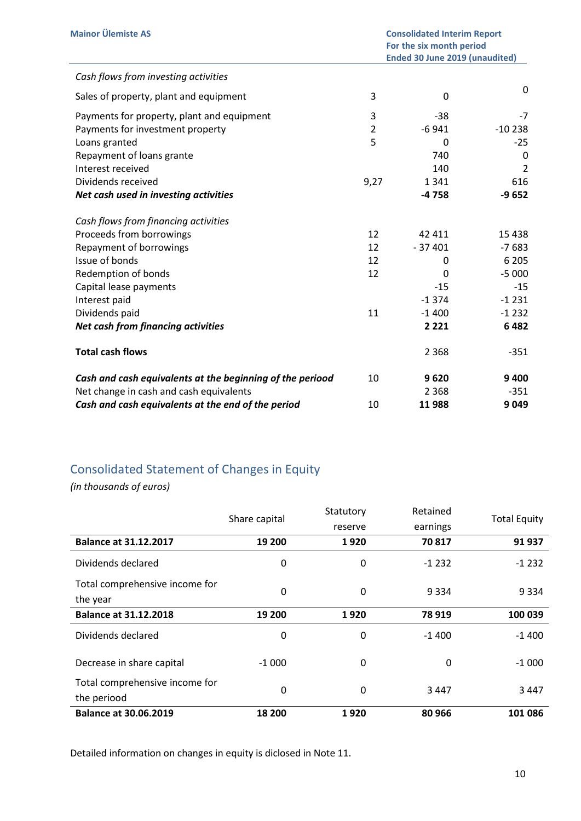| <b>Mainor Ülemiste AS</b>                                 | <b>Consolidated Interim Report</b><br>For the six month period<br><b>Ended 30 June 2019 (unaudited)</b> |          |                |
|-----------------------------------------------------------|---------------------------------------------------------------------------------------------------------|----------|----------------|
| Cash flows from investing activities                      |                                                                                                         |          |                |
| Sales of property, plant and equipment                    | 3                                                                                                       | 0        | 0              |
| Payments for property, plant and equipment                | 3                                                                                                       | -38      | $-7$           |
| Payments for investment property                          | $\overline{2}$                                                                                          | $-6941$  | $-10238$       |
| Loans granted                                             | 5                                                                                                       | 0        | $-25$          |
| Repayment of loans grante                                 |                                                                                                         | 740      | 0              |
| Interest received                                         |                                                                                                         | 140      | $\overline{2}$ |
| Dividends received                                        | 9,27                                                                                                    | 1 3 4 1  | 616            |
| Net cash used in investing activities                     |                                                                                                         | $-4758$  | $-9652$        |
| Cash flows from financing activities                      |                                                                                                         |          |                |
| Proceeds from borrowings                                  | 12                                                                                                      | 42 411   | 15 4 38        |
| Repayment of borrowings                                   | 12                                                                                                      | $-37401$ | $-7683$        |
| Issue of bonds                                            | 12                                                                                                      | 0        | 6 2 0 5        |
| Redemption of bonds                                       | 12                                                                                                      | 0        | $-5000$        |
| Capital lease payments                                    |                                                                                                         | $-15$    | $-15$          |
| Interest paid                                             |                                                                                                         | $-1374$  | $-1231$        |
| Dividends paid                                            | 11                                                                                                      | $-1400$  | $-1232$        |
| Net cash from financing activities                        |                                                                                                         | 2 2 2 1  | 6482           |
| <b>Total cash flows</b>                                   |                                                                                                         | 2 3 6 8  | -351           |
| Cash and cash equivalents at the beginning of the periood | 10                                                                                                      | 9620     | 9400           |
| Net change in cash and cash equivalents                   |                                                                                                         | 2 3 6 8  | $-351$         |
| Cash and cash equivalents at the end of the period        | 10                                                                                                      | 11988    | 9049           |

# Consolidated Statement of Changes in Equity

(in thousands of euros)

|                                               | Share capital | Statutory | Retained | <b>Total Equity</b> |
|-----------------------------------------------|---------------|-----------|----------|---------------------|
|                                               |               | reserve   | earnings |                     |
| <b>Balance at 31.12.2017</b>                  | 19 200        | 1920      | 70817    | 91 937              |
| Dividends declared                            | 0             | 0         | $-1232$  | $-1232$             |
| Total comprehensive income for<br>the year    | 0             | 0         | 9 3 3 4  | 9 3 3 4             |
| <b>Balance at 31.12.2018</b>                  | 19 200        | 1920      | 78 919   | 100 039             |
| Dividends declared                            | 0             | 0         | $-1400$  | $-1400$             |
| Decrease in share capital                     | $-1000$       | 0         | $\Omega$ | $-1000$             |
| Total comprehensive income for<br>the periood | 0             | 0         | 3447     | 3447                |
| <b>Balance at 30.06.2019</b>                  | 18 200        | 1920      | 80 966   | 101 086             |

Detailed information on changes in equity is diclosed in Note 11.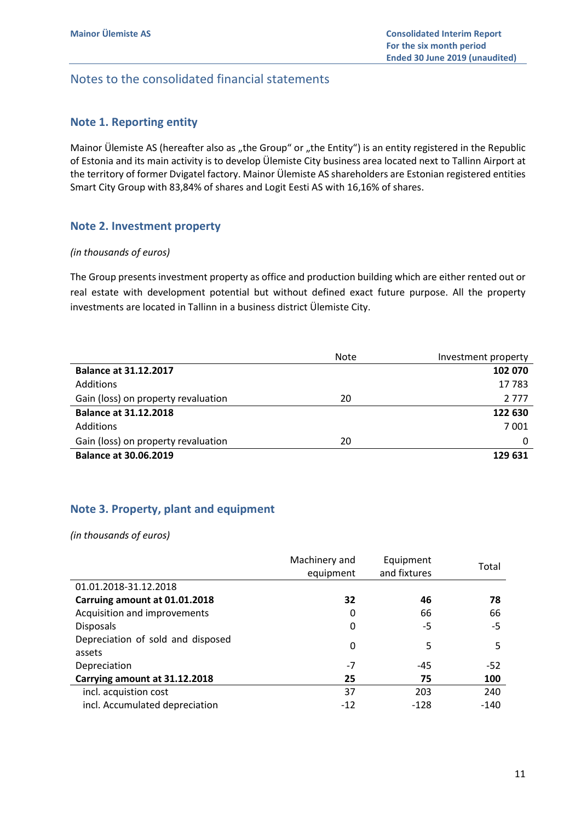# Notes to the consolidated financial statements

## Note 1. Reporting entity

Mainor Ülemiste AS (hereafter also as "the Group" or "the Entity") is an entity registered in the Republic of Estonia and its main activity is to develop Ülemiste City business area located next to Tallinn Airport at the territory of former Dvigatel factory. Mainor Ülemiste AS shareholders are Estonian registered entities Smart City Group with 83,84% of shares and Logit Eesti AS with 16,16% of shares.

## Note 2. Investment property

#### (in thousands of euros)

The Group presents investment property as office and production building which are either rented out or real estate with development potential but without defined exact future purpose. All the property investments are located in Tallinn in a business district Ülemiste City.

|                                     | <b>Note</b> | Investment property |
|-------------------------------------|-------------|---------------------|
| <b>Balance at 31.12.2017</b>        |             | 102 070             |
| Additions                           |             | 17783               |
| Gain (loss) on property revaluation | 20          | 2 7 7 7             |
| <b>Balance at 31.12.2018</b>        |             | 122 630             |
| Additions                           |             | 7001                |
| Gain (loss) on property revaluation | 20          | 0                   |
| <b>Balance at 30.06.2019</b>        |             | 129 631             |

## Note 3. Property, plant and equipment

|                                             | Machinery and<br>equipment | Equipment<br>and fixtures | Total  |
|---------------------------------------------|----------------------------|---------------------------|--------|
| 01.01.2018-31.12.2018                       |                            |                           |        |
| Carruing amount at 01.01.2018               | 32                         | 46                        | 78     |
| Acquisition and improvements                | 0                          | 66                        | 66     |
| Disposals                                   | 0                          | -5                        | $-5$   |
| Depreciation of sold and disposed<br>assets | 0                          | 5                         | 5      |
| Depreciation                                | $-7$                       | -45                       | $-52$  |
| Carrying amount at 31.12.2018               | 25                         | 75                        | 100    |
| incl. acquistion cost                       | 37                         | 203                       | 240    |
| incl. Accumulated depreciation              | $-12$                      | -128                      | $-140$ |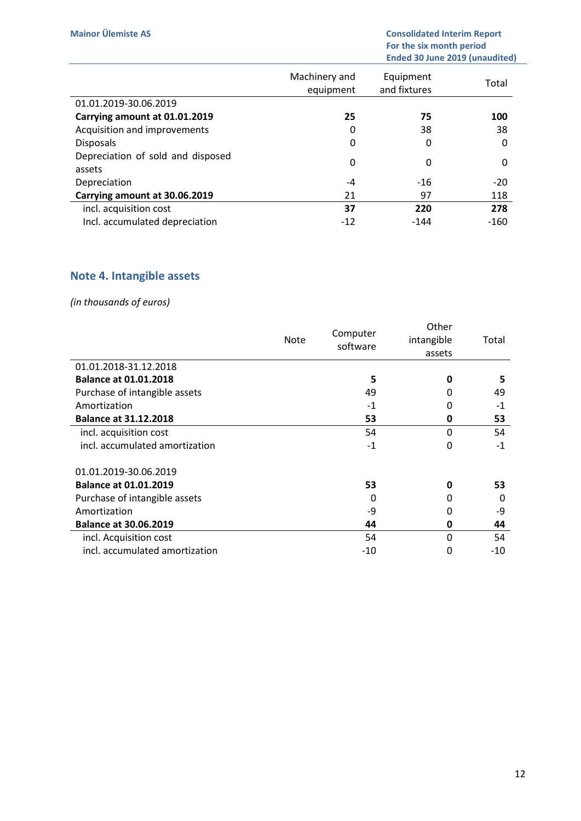|                                             | Machinery and<br>equipment | Equipment<br>and fixtures | Total  |
|---------------------------------------------|----------------------------|---------------------------|--------|
| 01.01.2019-30.06.2019                       |                            |                           |        |
| Carrying amount at 01.01.2019               | 25                         | 75                        | 100    |
| Acquisition and improvements                | 0                          | 38                        | 38     |
| <b>Disposals</b>                            | 0                          | 0                         | 0      |
| Depreciation of sold and disposed<br>assets | $\mathbf 0$                | 0                         | O      |
| Depreciation                                | -4                         | $-16$                     | $-20$  |
| Carrying amount at 30.06.2019               | 21                         | 97                        | 118    |
| incl. acquisition cost                      | 37                         | 220                       | 278    |
| Incl. accumulated depreciation              | $-12$                      | $-144$                    | $-160$ |

# Note 4. Intangible assets

|                                | Note | Computer<br>software | Other<br>intangible<br>assets | Total |
|--------------------------------|------|----------------------|-------------------------------|-------|
| 01.01.2018-31.12.2018          |      |                      |                               |       |
| <b>Balance at 01.01.2018</b>   |      | 5                    | 0                             | 5     |
| Purchase of intangible assets  |      | 49                   | 0                             | 49    |
| Amortization                   |      | $-1$                 | 0                             | $-1$  |
| <b>Balance at 31.12.2018</b>   |      | 53                   | 0                             | 53    |
| incl. acquisition cost         |      | 54                   | 0                             | 54    |
| incl. accumulated amortization |      | $-1$                 | 0                             | $-1$  |
| 01.01.2019-30.06.2019          |      |                      |                               |       |
| <b>Balance at 01.01.2019</b>   |      | 53                   | 0                             | 53    |
| Purchase of intangible assets  |      | Ω                    | 0                             | 0     |
| Amortization                   |      | -9                   | 0                             | -9    |
| <b>Balance at 30.06.2019</b>   |      | 44                   | 0                             | 44    |
| incl. Acquisition cost         |      | 54                   | 0                             | 54    |
| incl. accumulated amortization |      | -10                  | 0                             | -10   |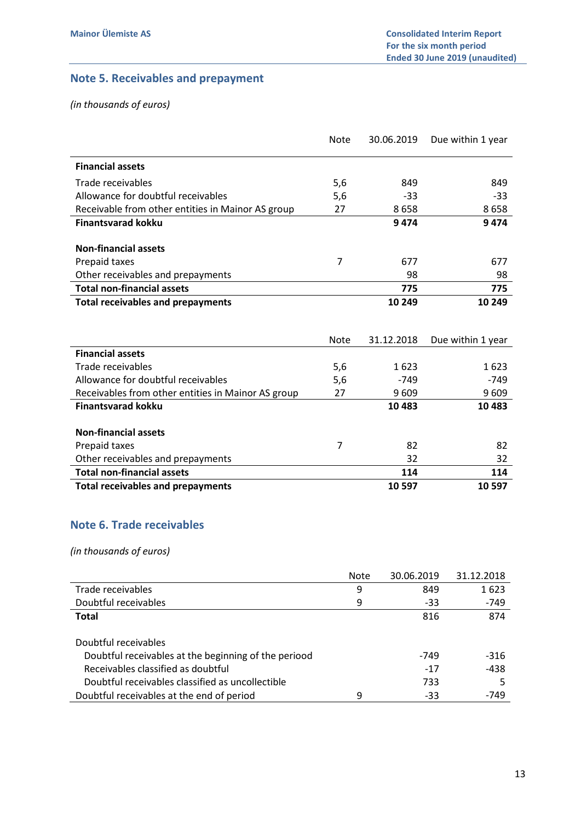# Note 5. Receivables and prepayment

(in thousands of euros)

|                                                    | Note           | 30.06.2019 | Due within 1 year |
|----------------------------------------------------|----------------|------------|-------------------|
| <b>Financial assets</b>                            |                |            |                   |
| Trade receivables                                  | 5,6            | 849        | 849               |
| Allowance for doubtful receivables                 | 5,6            | $-33$      | $-33$             |
| Receivable from other entities in Mainor AS group  | 27             | 8658       | 8658              |
| <b>Finantsvarad kokku</b>                          |                | 9474       | 9474              |
| <b>Non-financial assets</b>                        |                |            |                   |
| Prepaid taxes                                      | 7              | 677        | 677               |
| Other receivables and prepayments                  |                | 98         | 98                |
| <b>Total non-financial assets</b>                  |                | 775        | 775               |
| <b>Total receivables and prepayments</b>           |                | 10 249     | 10 249            |
|                                                    |                |            |                   |
|                                                    |                |            |                   |
|                                                    |                |            |                   |
| <b>Financial assets</b>                            | Note           | 31.12.2018 | Due within 1 year |
| Trade receivables                                  | 5,6            | 1623       | 1623              |
| Allowance for doubtful receivables                 | 5,6            | $-749$     | -749              |
| Receivables from other entities in Mainor AS group | 27             | 9 6 0 9    | 9609              |
| <b>Finantsvarad kokku</b>                          |                | 10483      | 10 4 83           |
|                                                    |                |            |                   |
| <b>Non-financial assets</b>                        |                |            |                   |
| Prepaid taxes                                      | $\overline{7}$ | 82         | 82                |
| Other receivables and prepayments                  |                | 32         | 32                |
| <b>Total non-financial assets</b>                  |                | 114        | 114               |

# Note 6. Trade receivables

|                                                      | <b>Note</b> | 30.06.2019 | 31.12.2018 |
|------------------------------------------------------|-------------|------------|------------|
| Trade receivables                                    | 9           | 849        | 1623       |
| Doubtful receivables                                 | 9           | $-33$      | -749       |
| <b>Total</b>                                         |             | 816        | 874        |
|                                                      |             |            |            |
| Doubtful receivables                                 |             |            |            |
| Doubtful receivables at the beginning of the periood |             | -749       | $-316$     |
| Receivables classified as doubtful                   |             | $-17$      | $-438$     |
| Doubtful receivables classified as uncollectible     |             | 733        |            |
| Doubtful receivables at the end of period            | 9           | $-33$      | -749       |
|                                                      |             |            |            |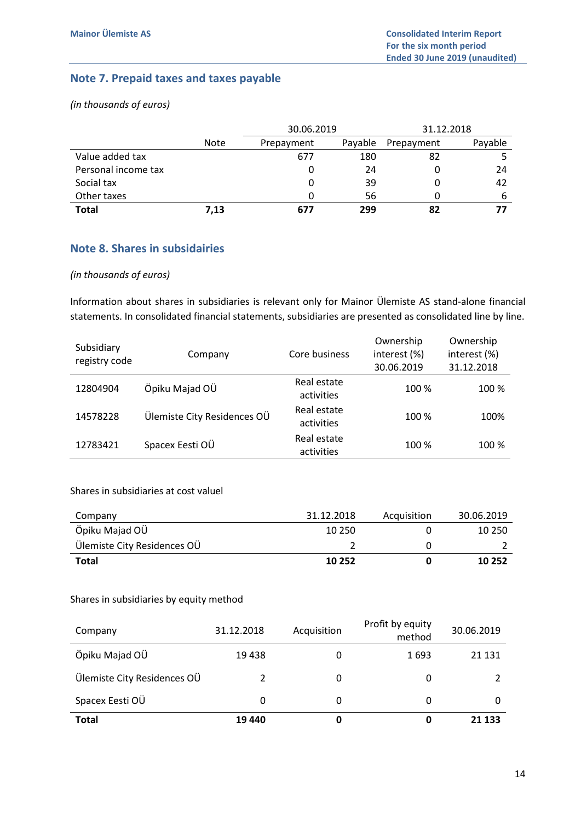# Note 7. Prepaid taxes and taxes payable

(in thousands of euros)

|                     |             | 30.06.2019 |         | 31.12.2018 |         |
|---------------------|-------------|------------|---------|------------|---------|
|                     | <b>Note</b> | Prepayment | Payable | Prepayment | Payable |
| Value added tax     |             | 677        | 180     | 82         |         |
| Personal income tax |             | 0          | 24      | 0          | 24      |
| Social tax          |             |            | 39      |            | 42      |
| Other taxes         |             |            | 56      |            |         |
| <b>Total</b>        | 7,13        | 677        | 299     | 82         |         |

## Note 8. Shares in subsidairies

#### (in thousands of euros)

Information about shares in subsidiaries is relevant only for Mainor Ülemiste AS stand-alone financial statements. In consolidated financial statements, subsidiaries are presented as consolidated line by line.

| Subsidiary<br>registry code | Company                     | Core business             | Ownership<br>interest (%)<br>30.06.2019 | Ownership<br>interest (%)<br>31.12.2018 |
|-----------------------------|-----------------------------|---------------------------|-----------------------------------------|-----------------------------------------|
| 12804904                    | Öpiku Majad OÜ              | Real estate<br>activities | 100 %                                   | 100 %                                   |
| 14578228                    | Ülemiste City Residences OÜ | Real estate<br>activities | 100 %                                   | 100%                                    |
| 12783421                    | Spacex Eesti OÜ             | Real estate<br>activities | 100 %                                   | 100 %                                   |

#### Shares in subsidiaries at cost valuel

| Company                     | 31.12.2018 | Acquisition | 30.06.2019 |
|-----------------------------|------------|-------------|------------|
| Öpiku Majad OÜ              | 10 250     |             | 10 250     |
| Ülemiste City Residences OU |            |             |            |
| <b>Total</b>                | 10 25 2    |             | 10 252     |

#### Shares in subsidiaries by equity method

| Company                     | 31.12.2018 | Acquisition | Profit by equity<br>method | 30.06.2019 |
|-----------------------------|------------|-------------|----------------------------|------------|
| Öpiku Majad OÜ              | 19438      | 0           | 1693                       | 21 1 31    |
| Ülemiste City Residences OÜ |            | 0           | 0                          |            |
| Spacex Eesti OÜ             | 0          | 0           | 0                          | O          |
| <b>Total</b>                | 19 440     | 0           | 0                          | 21 133     |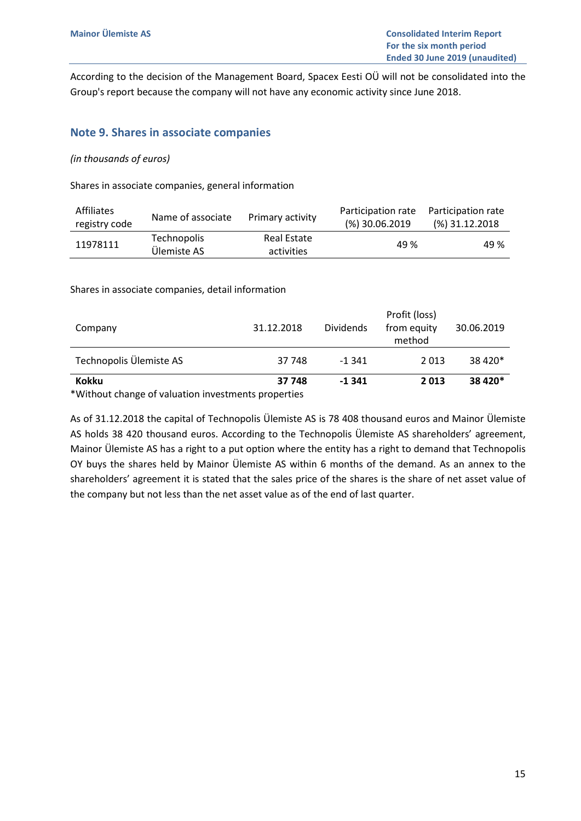According to the decision of the Management Board, Spacex Eesti OÜ will not be consolidated into the Group's report because the company will not have any economic activity since June 2018.

## Note 9. Shares in associate companies

#### (in thousands of euros)

Shares in associate companies, general information

| <b>Affiliates</b><br>registry code | Name of associate          | Primary activity          | Participation rate Participation rate<br>$(%)$ 30.06.2019 | $(\%)$ 31.12.2018 |
|------------------------------------|----------------------------|---------------------------|-----------------------------------------------------------|-------------------|
| 11978111                           | Technopolis<br>Ülemiste AS | Real Estate<br>activities | 49 %                                                      | 49 %              |

Shares in associate companies, detail information

| <b>Kokku</b>            | 37 748     | $-1341$          | 2013                                   | 38 4 20*   |
|-------------------------|------------|------------------|----------------------------------------|------------|
| Technopolis Ülemiste AS | 37 748     | $-1.341$         | 2013                                   | 38 4 20*   |
|                         |            |                  |                                        |            |
| Company                 | 31.12.2018 | <b>Dividends</b> | Profit (loss)<br>from equity<br>method | 30.06.2019 |

\*Without change of valuation investments properties

As of 31.12.2018 the capital of Technopolis Ülemiste AS is 78 408 thousand euros and Mainor Ülemiste AS holds 38 420 thousand euros. According to the Technopolis Ülemiste AS shareholders' agreement, Mainor Ülemiste AS has a right to a put option where the entity has a right to demand that Technopolis OY buys the shares held by Mainor Ülemiste AS within 6 months of the demand. As an annex to the shareholders' agreement it is stated that the sales price of the shares is the share of net asset value of the company but not less than the net asset value as of the end of last quarter.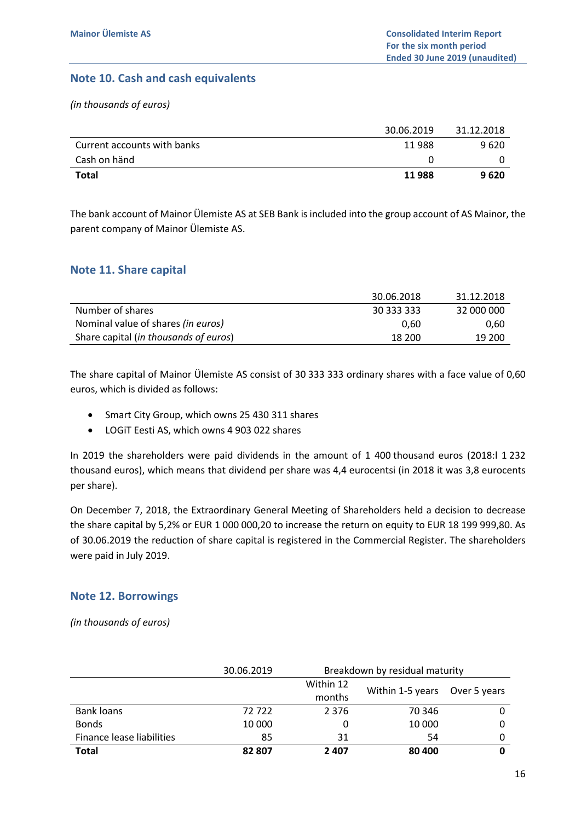# Note 10. Cash and cash equivalents

(in thousands of euros)

|                             | 30.06.2019 | 31.12.2018 |
|-----------------------------|------------|------------|
| Current accounts with banks | 11988      | 9 6 2 0    |
| Cash on händ                |            |            |
| <b>Total</b>                | 11988      | 9620       |

The bank account of Mainor Ülemiste AS at SEB Bank is included into the group account of AS Mainor, the parent company of Mainor Ülemiste AS.

## Note 11. Share capital

|                                                | 30.06.2018 | 31.12.2018 |
|------------------------------------------------|------------|------------|
| Number of shares                               | 30 333 333 | 32 000 000 |
| Nominal value of shares <i>(in euros)</i>      | 0.60       | 0.60       |
| Share capital ( <i>in thousands of euros</i> ) | 18 200     | 19 200     |

The share capital of Mainor Ülemiste AS consist of 30 333 333 ordinary shares with a face value of 0,60 euros, which is divided as follows:

- Smart City Group, which owns 25 430 311 shares
- LOGiT Eesti AS, which owns 4 903 022 shares

In 2019 the shareholders were paid dividends in the amount of 1 400 thousand euros (2018:l 1 232 thousand euros), which means that dividend per share was 4,4 eurocentsi (in 2018 it was 3,8 eurocents per share).

On December 7, 2018, the Extraordinary General Meeting of Shareholders held a decision to decrease the share capital by 5,2% or EUR 1 000 000,20 to increase the return on equity to EUR 18 199 999,80. As of 30.06.2019 the reduction of share capital is registered in the Commercial Register. The shareholders were paid in July 2019.

## Note 12. Borrowings

|                           | 30.06.2019 | Breakdown by residual maturity |                  |              |
|---------------------------|------------|--------------------------------|------------------|--------------|
|                           |            | Within 12                      | Within 1-5 years | Over 5 years |
|                           |            | months                         |                  |              |
| Bank loans                | 72722      | 2 3 7 6                        | 70 346           |              |
| <b>Bonds</b>              | 10 000     |                                | 10 000           | 0            |
| Finance lease liabilities | 85         | 31                             | 54               | 0            |
| <b>Total</b>              | 82 807     | 2407                           | 80 400           |              |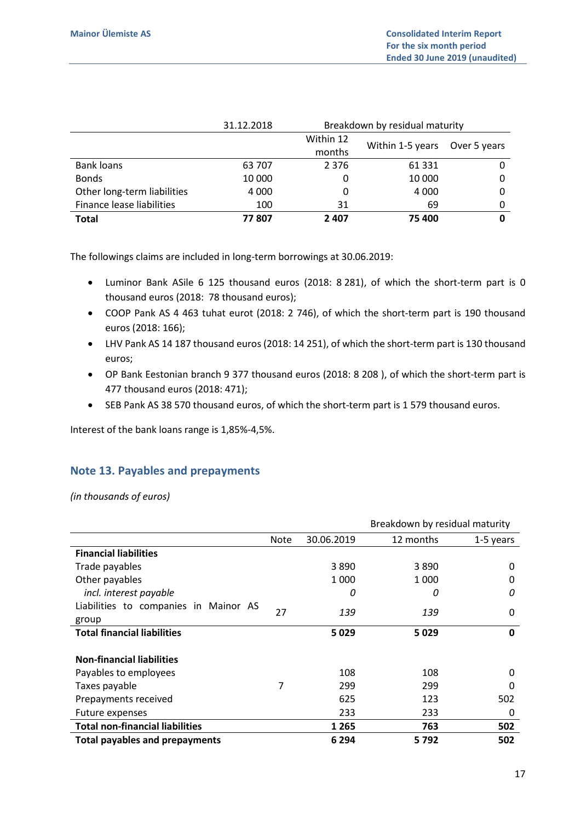|                             | 31.12.2018 | Breakdown by residual maturity |                  |              |
|-----------------------------|------------|--------------------------------|------------------|--------------|
|                             |            | Within 12                      |                  |              |
|                             |            | months                         | Within 1-5 years | Over 5 years |
| <b>Bank loans</b>           | 63 707     | 2 3 7 6                        | 61 3 31          |              |
| <b>Bonds</b>                | 10 000     | 0                              | 10 000           |              |
| Other long-term liabilities | 4 0 0 0    | 0                              | 4 0 0 0          |              |
| Finance lease liabilities   | 100        | 31                             | 69               |              |
| <b>Total</b>                | 77807      | 2407                           | 75 400           |              |

The followings claims are included in long-term borrowings at 30.06.2019:

- Luminor Bank ASile 6 125 thousand euros (2018: 8 281), of which the short-term part is 0 thousand euros (2018: 78 thousand euros);
- COOP Pank AS 4 463 tuhat eurot (2018: 2 746), of which the short-term part is 190 thousand euros (2018: 166);
- LHV Pank AS 14 187 thousand euros (2018: 14 251), of which the short-term part is 130 thousand euros;
- OP Bank Eestonian branch 9 377 thousand euros (2018: 8 208 ), of which the short-term part is 477 thousand euros (2018: 471);
- SEB Pank AS 38 570 thousand euros, of which the short-term part is 1 579 thousand euros.

Interest of the bank loans range is 1,85%-4,5%.

# Note 13. Payables and prepayments

|                                        |      |            | Breakdown by residual maturity |           |
|----------------------------------------|------|------------|--------------------------------|-----------|
|                                        | Note | 30.06.2019 | 12 months                      | 1-5 years |
| <b>Financial liabilities</b>           |      |            |                                |           |
| Trade payables                         |      | 3890       | 3890                           | 0         |
| Other payables                         |      | 1 000      | 1 000                          | 0         |
| incl. interest payable                 |      | 0          | 0                              | 0         |
| Liabilities to companies in Mainor AS  | 27   | 139        | 139                            | 0         |
| group                                  |      |            |                                |           |
| <b>Total financial liabilities</b>     |      | 5 0 2 9    | 5029                           | 0         |
|                                        |      |            |                                |           |
| <b>Non-financial liabilities</b>       |      |            |                                |           |
| Payables to employees                  |      | 108        | 108                            | 0         |
| Taxes payable                          | 7    | 299        | 299                            | 0         |
| Prepayments received                   |      | 625        | 123                            | 502       |
| Future expenses                        |      | 233        | 233                            | 0         |
| <b>Total non-financial liabilities</b> |      | 1 2 6 5    | 763                            | 502       |
| <b>Total payables and prepayments</b>  |      | 6 2 9 4    | 5792                           | 502       |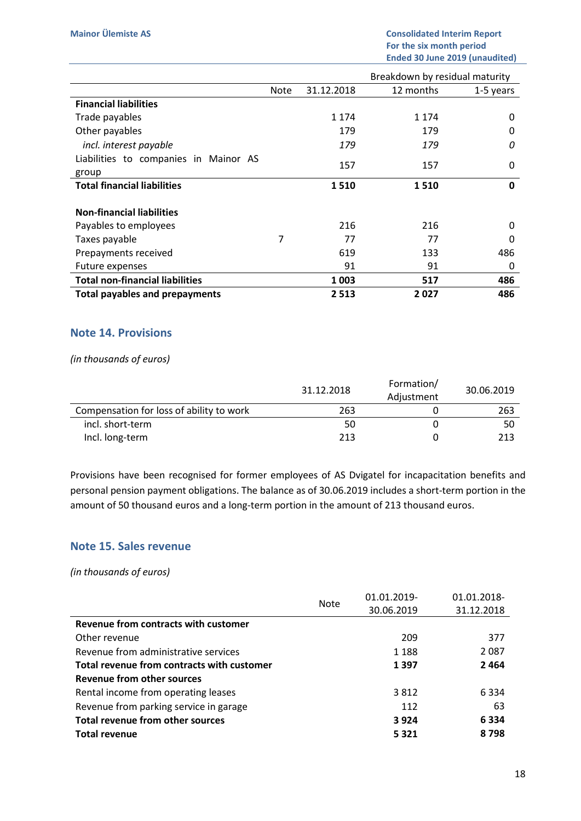|                                        |                |            | Breakdown by residual maturity |           |
|----------------------------------------|----------------|------------|--------------------------------|-----------|
|                                        | Note           | 31.12.2018 | 12 months                      | 1-5 years |
| <b>Financial liabilities</b>           |                |            |                                |           |
| Trade payables                         |                | 1 1 7 4    | 1 1 7 4                        | 0         |
| Other payables                         |                | 179        | 179                            | 0         |
| incl. interest payable                 |                | 179        | 179                            | 0         |
| Liabilities to companies in Mainor AS  |                | 157        | 157                            | 0         |
| group                                  |                |            |                                |           |
| <b>Total financial liabilities</b>     |                | 1510       | 1510                           | 0         |
|                                        |                |            |                                |           |
| <b>Non-financial liabilities</b>       |                |            |                                |           |
| Payables to employees                  |                | 216        | 216                            | 0         |
| Taxes payable                          | $\overline{7}$ | 77         | 77                             | 0         |
| Prepayments received                   |                | 619        | 133                            | 486       |
| Future expenses                        |                | 91         | 91                             | 0         |
| <b>Total non-financial liabilities</b> |                | 1 003      | 517                            | 486       |
| Total payables and prepayments         |                | 2513       | 2027                           | 486       |

#### Note 14. Provisions

#### (in thousands of euros)

|                                          | 31.12.2018 | Formation/<br>Adjustment | 30.06.2019 |
|------------------------------------------|------------|--------------------------|------------|
| Compensation for loss of ability to work | 263        |                          | 263        |
| incl. short-term                         | 50         |                          | 50         |
| Incl. long-term                          | 213        |                          | 213        |

Provisions have been recognised for former employees of AS Dvigatel for incapacitation benefits and personal pension payment obligations. The balance as of 30.06.2019 includes a short-term portion in the amount of 50 thousand euros and a long-term portion in the amount of 213 thousand euros.

## Note 15. Sales revenue

|                                            | <b>Note</b> | 01.01.2019- | 01.01.2018- |
|--------------------------------------------|-------------|-------------|-------------|
|                                            |             | 30.06.2019  | 31.12.2018  |
| Revenue from contracts with customer       |             |             |             |
| Other revenue                              |             | 209         | 377         |
| Revenue from administrative services       |             | 1 1 8 8     | 2087        |
| Total revenue from contracts with customer |             | 1 3 9 7     | 2464        |
| Revenue from other sources                 |             |             |             |
| Rental income from operating leases        |             | 3812        | 6334        |
| Revenue from parking service in garage     |             | 112         | 63          |
| Total revenue from other sources           |             | 3924        | 6334        |
| <b>Total revenue</b>                       |             | 5 3 2 1     | 8798        |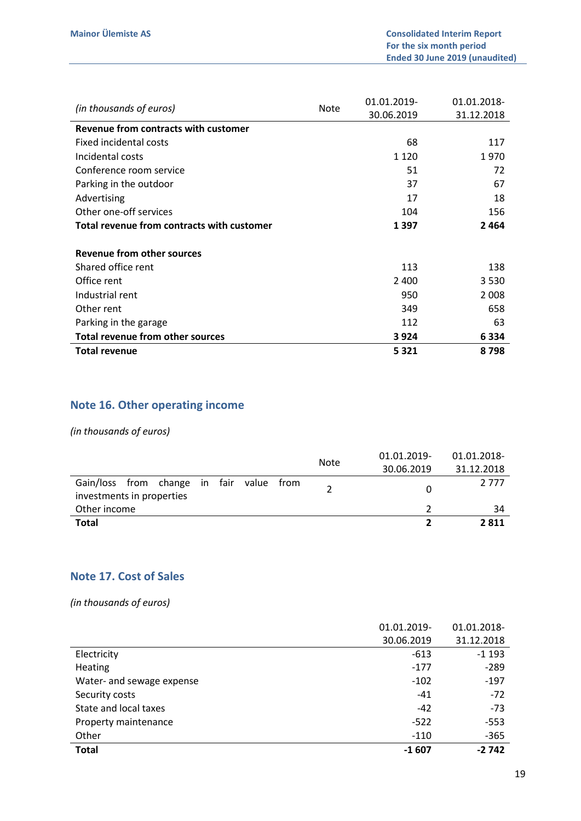| (in thousands of euros)                    | <b>Note</b> | 01.01.2019- | 01.01.2018- |
|--------------------------------------------|-------------|-------------|-------------|
|                                            |             | 30.06.2019  | 31.12.2018  |
| Revenue from contracts with customer       |             |             |             |
| Fixed incidental costs                     |             | 68          | 117         |
| Incidental costs                           |             | 1 1 2 0     | 1970        |
| Conference room service                    |             | 51          | 72          |
| Parking in the outdoor                     |             | 37          | 67          |
| Advertising                                |             | 17          | 18          |
| Other one-off services                     |             | 104         | 156         |
| Total revenue from contracts with customer |             | 1 3 9 7     | 2464        |
| Revenue from other sources                 |             |             |             |
| Shared office rent                         |             | 113         | 138         |
| Office rent                                |             | 2 4 0 0     | 3530        |
| Industrial rent                            |             | 950         | 2 0 0 8     |
| Other rent                                 |             | 349         | 658         |
| Parking in the garage                      |             | 112         | 63          |
| <b>Total revenue from other sources</b>    |             | 3924        | 6334        |
| <b>Total revenue</b>                       |             | 5 3 2 1     | 8798        |

# Note 16. Other operating income

## (in thousands of euros)

|                                          | <b>Note</b> | 01.01.2019- | 01.01.2018- |
|------------------------------------------|-------------|-------------|-------------|
|                                          |             | 30.06.2019  | 31.12.2018  |
| Gain/loss from change in fair value from |             |             | 2 7 7 7     |
| investments in properties                |             |             |             |
| Other income                             |             |             | 34          |
| <b>Total</b>                             |             |             | 2811        |

## Note 17. Cost of Sales

|                           | 01.01.2019- | 01.01.2018- |
|---------------------------|-------------|-------------|
|                           | 30.06.2019  | 31.12.2018  |
| Electricity               | $-613$      | $-1193$     |
| <b>Heating</b>            | $-177$      | $-289$      |
| Water- and sewage expense | $-102$      | $-197$      |
| Security costs            | $-41$       | $-72$       |
| State and local taxes     | $-42$       | $-73$       |
| Property maintenance      | $-522$      | $-553$      |
| Other                     | $-110$      | $-365$      |
| <b>Total</b>              | $-1607$     | $-2742$     |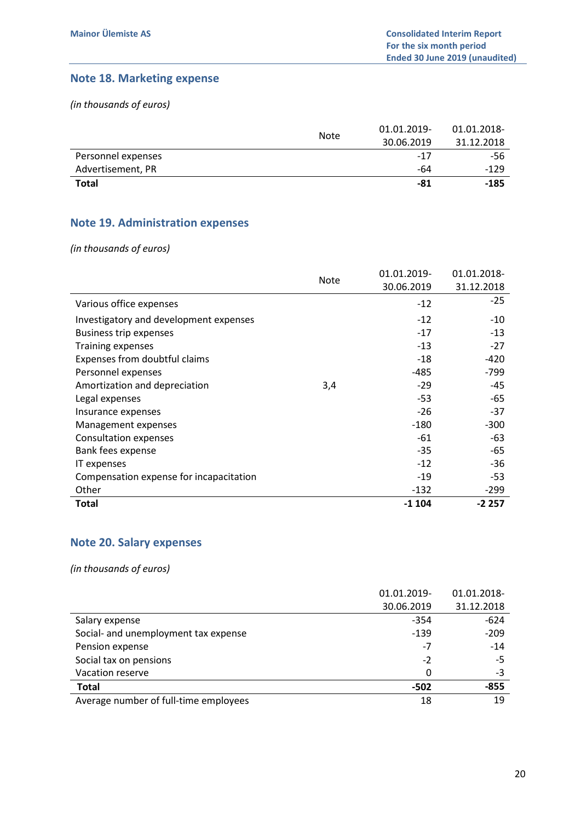# Note 18. Marketing expense

(in thousands of euros)

|                    |             | 01.01.2019- | 01.01.2018- |
|--------------------|-------------|-------------|-------------|
|                    | <b>Note</b> | 30.06.2019  | 31.12.2018  |
| Personnel expenses |             | $-17$       | -56         |
| Advertisement, PR  |             | -64         | -129        |
| <b>Total</b>       |             | -81         | $-185$      |

# Note 19. Administration expenses

(in thousands of euros)

|                                         | <b>Note</b> | 01.01.2019- | 01.01.2018- |
|-----------------------------------------|-------------|-------------|-------------|
|                                         |             | 30.06.2019  | 31.12.2018  |
| Various office expenses                 |             | $-12$       | $-25$       |
| Investigatory and development expenses  |             | $-12$       | $-10$       |
| <b>Business trip expenses</b>           |             | $-17$       | $-13$       |
| Training expenses                       |             | -13         | $-27$       |
| Expenses from doubtful claims           |             | -18         | $-420$      |
| Personnel expenses                      |             | $-485$      | $-799$      |
| Amortization and depreciation           | 3,4         | $-29$       | -45         |
| Legal expenses                          |             | $-53$       | -65         |
| Insurance expenses                      |             | $-26$       | $-37$       |
| Management expenses                     |             | $-180$      | $-300$      |
| <b>Consultation expenses</b>            |             | -61         | -63         |
| Bank fees expense                       |             | $-35$       | -65         |
| IT expenses                             |             | $-12$       | -36         |
| Compensation expense for incapacitation |             | $-19$       | -53         |
| Other                                   |             | $-132$      | -299        |
| Total                                   |             | $-1104$     | $-2257$     |

# Note 20. Salary expenses

|                                       | 01.01.2019- | 01.01.2018- |
|---------------------------------------|-------------|-------------|
|                                       | 30.06.2019  | 31.12.2018  |
| Salary expense                        | $-354$      | $-624$      |
| Social- and unemployment tax expense  | $-139$      | $-209$      |
| Pension expense                       | $-7$        | $-14$       |
| Social tax on pensions                | $-2$        | $-5$        |
| Vacation reserve                      | 0           | -3          |
| <b>Total</b>                          | $-502$      | $-855$      |
| Average number of full-time employees | 18          | 19          |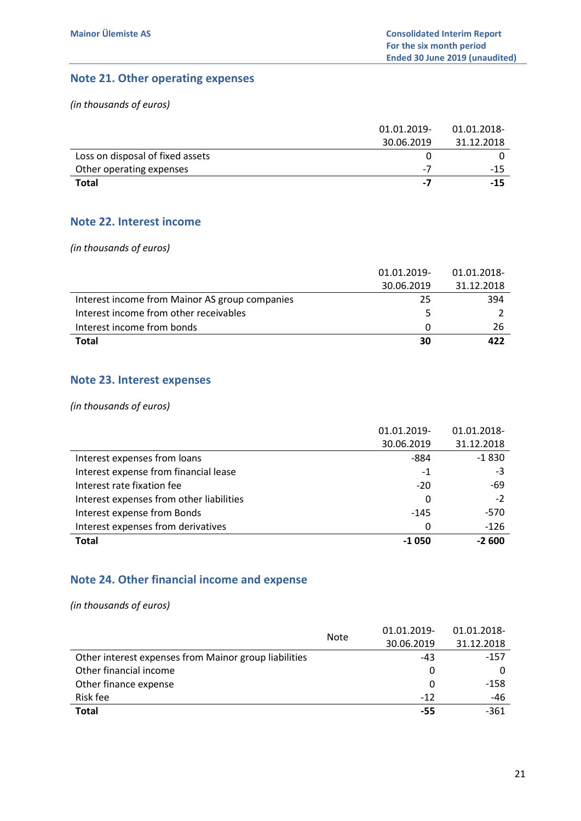## Note 21. Other operating expenses

(in thousands of euros)

|                                  | 01.01.2019- | 01.01.2018- |
|----------------------------------|-------------|-------------|
|                                  | 30.06.2019  | 31.12.2018  |
| Loss on disposal of fixed assets |             |             |
| Other operating expenses         | $-7$        | $-15$       |
| Total                            | -7          | $-15$       |

## Note 22. Interest income

(in thousands of euros)

|                                                | 01.01.2019- | 01.01.2018- |
|------------------------------------------------|-------------|-------------|
|                                                | 30.06.2019  | 31.12.2018  |
| Interest income from Mainor AS group companies | 25          | 394         |
| Interest income from other receivables         |             |             |
| Interest income from bonds                     |             | 26          |
| Total                                          | 30          | 422         |

# Note 23. Interest expenses

(in thousands of euros)

|                                          | 01.01.2019- | 01.01.2018- |
|------------------------------------------|-------------|-------------|
|                                          | 30.06.2019  | 31.12.2018  |
| Interest expenses from loans             | -884        | $-1830$     |
| Interest expense from financial lease    | -1          | -3          |
| Interest rate fixation fee               | $-20$       | -69         |
| Interest expenses from other liabilities | 0           | $-2$        |
| Interest expense from Bonds              | $-145$      | $-570$      |
| Interest expenses from derivatives       | 0           | $-126$      |
| <b>Total</b>                             | $-1050$     | $-2600$     |

# Note 24. Other financial income and expense

|                                                       | <b>Note</b> | 01.01.2019- | 01.01.2018- |
|-------------------------------------------------------|-------------|-------------|-------------|
|                                                       |             | 30.06.2019  | 31.12.2018  |
| Other interest expenses from Mainor group liabilities |             | $-43$       | $-157$      |
| Other financial income                                |             | O           |             |
| Other finance expense                                 |             | 0           | $-158$      |
| Risk fee                                              |             | $-12$       | $-46$       |
| <b>Total</b>                                          |             | -55         | $-361$      |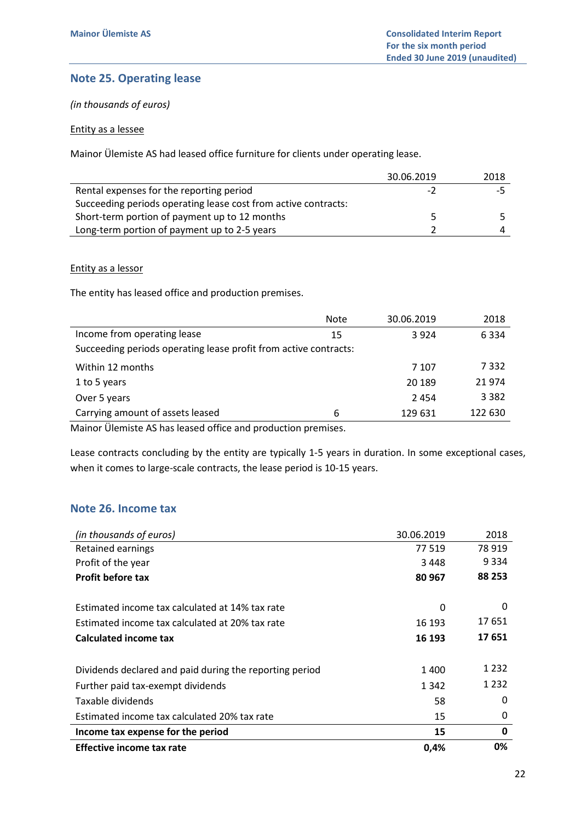# Note 25. Operating lease

(in thousands of euros)

#### Entity as a lessee

Mainor Ülemiste AS had leased office furniture for clients under operating lease.

|                                                                | 30.06.2019 | 2018 |
|----------------------------------------------------------------|------------|------|
| Rental expenses for the reporting period                       | -2         |      |
| Succeeding periods operating lease cost from active contracts: |            |      |
| Short-term portion of payment up to 12 months                  |            |      |
| Long-term portion of payment up to 2-5 years                   |            |      |

Entity as a lessor

The entity has leased office and production premises.

|                                                                                                                                                   | <b>Note</b> | 30.06.2019 | 2018    |
|---------------------------------------------------------------------------------------------------------------------------------------------------|-------------|------------|---------|
| Income from operating lease                                                                                                                       | 15          | 3 9 2 4    | 6 3 3 4 |
| Succeeding periods operating lease profit from active contracts:                                                                                  |             |            |         |
| Within 12 months                                                                                                                                  |             | 7 107      | 7332    |
| 1 to 5 years                                                                                                                                      |             | 20 189     | 21974   |
| Over 5 years                                                                                                                                      |             | 2454       | 3 3 8 2 |
| Carrying amount of assets leased<br>and a state of the state of the state of the state of the state of the state of the state of the state of the | 6           | 129 631    | 122 630 |

Mainor Ülemiste AS has leased office and production premises.

Lease contracts concluding by the entity are typically 1-5 years in duration. In some exceptional cases, when it comes to large-scale contracts, the lease period is 10-15 years.

# Note 26. Income tax

| (in thousands of euros)                                 | 30.06.2019 | 2018    |
|---------------------------------------------------------|------------|---------|
| Retained earnings                                       | 77 519     | 78 919  |
| Profit of the year                                      | 3448       | 9 3 3 4 |
| <b>Profit before tax</b>                                | 80 967     | 88 253  |
|                                                         |            |         |
| Estimated income tax calculated at 14% tax rate         | 0          | 0       |
| Estimated income tax calculated at 20% tax rate         | 16 193     | 17 651  |
| <b>Calculated income tax</b>                            | 16 193     | 17651   |
| Dividends declared and paid during the reporting period | 1400       | 1 2 3 2 |
| Further paid tax-exempt dividends                       | 1 3 4 2    | 1 2 3 2 |
| Taxable dividends                                       | 58         | 0       |
| Estimated income tax calculated 20% tax rate            | 15         | 0       |
| Income tax expense for the period                       | 15         | 0       |
| Effective income tax rate                               | 0,4%       | 0%      |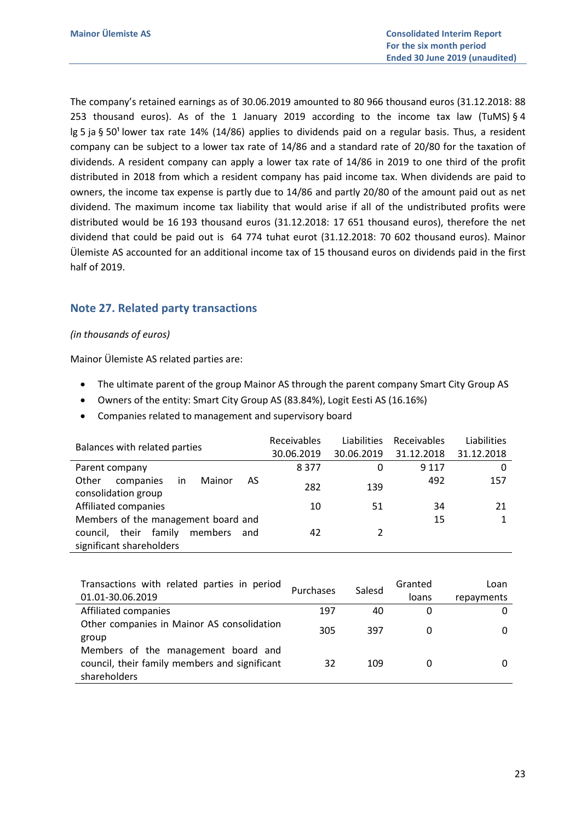The company's retained earnings as of 30.06.2019 amounted to 80 966 thousand euros (31.12.2018: 88 253 thousand euros). As of the 1 January 2019 according to the income tax law (TuMS)  $\S 4$ lg 5 ja § 50<sup>1</sup> lower tax rate 14% (14/86) applies to dividends paid on a regular basis. Thus, a resident company can be subject to a lower tax rate of 14/86 and a standard rate of 20/80 for the taxation of dividends. A resident company can apply a lower tax rate of 14/86 in 2019 to one third of the profit distributed in 2018 from which a resident company has paid income tax. When dividends are paid to owners, the income tax expense is partly due to 14/86 and partly 20/80 of the amount paid out as net dividend. The maximum income tax liability that would arise if all of the undistributed profits were distributed would be 16 193 thousand euros (31.12.2018: 17 651 thousand euros), therefore the net dividend that could be paid out is 64 774 tuhat eurot (31.12.2018: 70 602 thousand euros). Mainor Ülemiste AS accounted for an additional income tax of 15 thousand euros on dividends paid in the first half of 2019.

## Note 27. Related party transactions

#### (in thousands of euros)

Mainor Ülemiste AS related parties are:

- The ultimate parent of the group Mainor AS through the parent company Smart City Group AS
- Owners of the entity: Smart City Group AS (83.84%), Logit Eesti AS (16.16%)
- Companies related to management and supervisory board

|                                                                 | Receivables | Liabilities   | Receivables | Liabilities |
|-----------------------------------------------------------------|-------------|---------------|-------------|-------------|
| Balances with related parties                                   | 30.06.2019  | 30.06.2019    | 31.12.2018  | 31.12.2018  |
| Parent company                                                  | 8377        | 0             | 9 1 1 7     | 0           |
| in<br>Mainor<br>Other<br>companies<br>AS<br>consolidation group | 282         | 139           | 492         | 157         |
| Affiliated companies                                            | 10          | 51            | 34          | 21          |
| Members of the management board and                             |             |               | 15          |             |
| family<br>their<br>members<br>council,<br>and                   | 42          | $\mathcal{P}$ |             |             |
| significant shareholders                                        |             |               |             |             |

| Transactions with related parties in period   |     |                     | Granted | Loan       |
|-----------------------------------------------|-----|---------------------|---------|------------|
| 01.01-30.06.2019                              |     | Salesd<br>Purchases | loans   | repayments |
| Affiliated companies                          | 197 | 40                  | 0       |            |
| Other companies in Mainor AS consolidation    | 305 | 397                 | 0       |            |
| group                                         |     |                     |         |            |
| Members of the management board and           |     |                     |         |            |
| council, their family members and significant | 32  | 109                 |         |            |
| shareholders                                  |     |                     |         |            |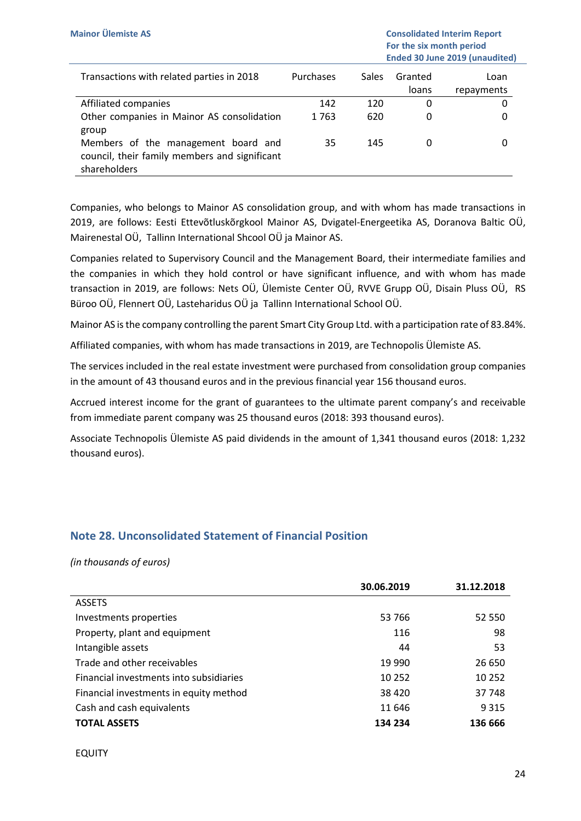| Transactions with related parties in 2018     | Purchases | <b>Sales</b> | Granted<br>loans | Loan<br>repayments |
|-----------------------------------------------|-----------|--------------|------------------|--------------------|
| Affiliated companies                          | 142       | 120          | 0                |                    |
| Other companies in Mainor AS consolidation    | 1763      | 620          | 0                |                    |
| group                                         |           |              |                  |                    |
| Members of the management board and           | 35        | 145          | O                |                    |
| council, their family members and significant |           |              |                  |                    |
| shareholders                                  |           |              |                  |                    |

Companies, who belongs to Mainor AS consolidation group, and with whom has made transactions in 2019, are follows: Eesti Ettevõtluskõrgkool Mainor AS, Dvigatel-Energeetika AS, Doranova Baltic OÜ, Mairenestal OÜ, Tallinn International Shcool OÜ ja Mainor AS.

Companies related to Supervisory Council and the Management Board, their intermediate families and the companies in which they hold control or have significant influence, and with whom has made transaction in 2019, are follows: Nets OÜ, Ülemiste Center OÜ, RVVE Grupp OÜ, Disain Pluss OÜ, RS Büroo OÜ, Flennert OÜ, Lasteharidus OÜ ja Tallinn International School OÜ.

Mainor AS is the company controlling the parent Smart City Group Ltd. with a participation rate of 83.84%.

Affiliated companies, with whom has made transactions in 2019, are Technopolis Ülemiste AS.

The services included in the real estate investment were purchased from consolidation group companies in the amount of 43 thousand euros and in the previous financial year 156 thousand euros.

Accrued interest income for the grant of guarantees to the ultimate parent company's and receivable from immediate parent company was 25 thousand euros (2018: 393 thousand euros).

Associate Technopolis Ülemiste AS paid dividends in the amount of 1,341 thousand euros (2018: 1,232 thousand euros).

## Note 28. Unconsolidated Statement of Financial Position

|                                         | 30.06.2019 | 31.12.2018 |
|-----------------------------------------|------------|------------|
| <b>ASSETS</b>                           |            |            |
| Investments properties                  | 53 766     | 52 550     |
| Property, plant and equipment           | 116        | 98         |
| Intangible assets                       | 44         | 53         |
| Trade and other receivables             | 19 9 90    | 26 650     |
| Financial investments into subsidiaries | 10 252     | 10 25 2    |
| Financial investments in equity method  | 38 4 20    | 37 748     |
| Cash and cash equivalents               | 11 646     | 9 3 1 5    |
| <b>TOTAL ASSETS</b>                     | 134 234    | 136 666    |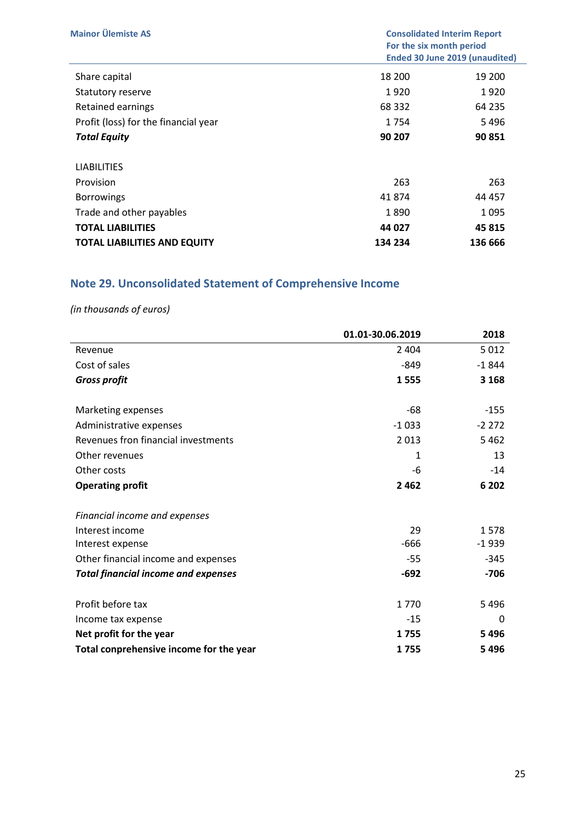| <b>Mainor Ülemiste AS</b>            | <b>Consolidated Interim Report</b><br>For the six month period<br><b>Ended 30 June 2019 (unaudited)</b> |         |
|--------------------------------------|---------------------------------------------------------------------------------------------------------|---------|
| Share capital                        | 18 200                                                                                                  | 19 200  |
| Statutory reserve                    | 1920                                                                                                    | 1920    |
| Retained earnings                    | 68 3 32                                                                                                 | 64 235  |
| Profit (loss) for the financial year | 1754                                                                                                    | 5496    |
| <b>Total Equity</b>                  | 90 207                                                                                                  | 90 851  |
| <b>LIABILITIES</b>                   |                                                                                                         |         |
| Provision                            | 263                                                                                                     | 263     |
| <b>Borrowings</b>                    | 41874                                                                                                   | 44 457  |
| Trade and other payables             | 1890                                                                                                    | 1095    |
| <b>TOTAL LIABILITIES</b>             | 44 027                                                                                                  | 45 815  |
| <b>TOTAL LIABILITIES AND EQUITY</b>  | 134 234                                                                                                 | 136 666 |

# Note 29. Unconsolidated Statement of Comprehensive Income

|                                            | 01.01-30.06.2019 | 2018    |
|--------------------------------------------|------------------|---------|
| Revenue                                    | 2 4 0 4          | 5012    |
| Cost of sales                              | $-849$           | $-1844$ |
| <b>Gross profit</b>                        | 1555             | 3 1 6 8 |
| Marketing expenses                         | $-68$            | $-155$  |
| Administrative expenses                    | $-1033$          | $-2272$ |
| Revenues fron financial investments        | 2013             | 5462    |
| Other revenues                             | 1                | 13      |
| Other costs                                | -6               | $-14$   |
| <b>Operating profit</b>                    | 2462             | 6 2 0 2 |
| Financial income and expenses              |                  |         |
| Interest income                            | 29               | 1578    |
| Interest expense                           | $-666$           | $-1939$ |
| Other financial income and expenses        | -55              | $-345$  |
| <b>Total financial income and expenses</b> | $-692$           | $-706$  |
| Profit before tax                          | 1770             | 5496    |
| Income tax expense                         | $-15$            | 0       |
| Net profit for the year                    | 1755             | 5496    |
| Total conprehensive income for the year    | 1755             | 5496    |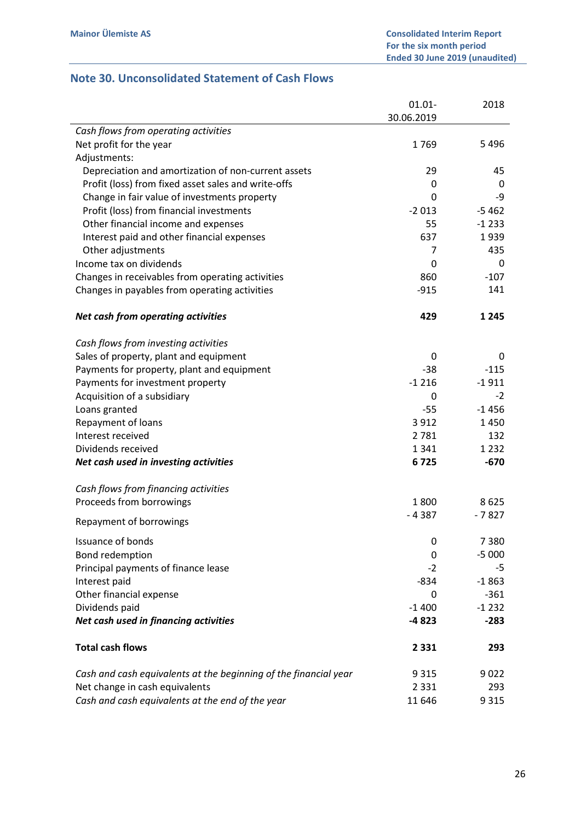# Note 30. Unconsolidated Statement of Cash Flows

|                                                                  | $01.01 -$    | 2018              |
|------------------------------------------------------------------|--------------|-------------------|
|                                                                  | 30.06.2019   |                   |
| Cash flows from operating activities                             |              |                   |
| Net profit for the year                                          | 1769         | 5496              |
| Adjustments:                                                     |              |                   |
| Depreciation and amortization of non-current assets              | 29           | 45                |
| Profit (loss) from fixed asset sales and write-offs              | 0            | 0                 |
| Change in fair value of investments property                     | $\mathbf{0}$ | -9                |
| Profit (loss) from financial investments                         | $-2013$      | $-5462$           |
| Other financial income and expenses                              | 55           | $-1233$           |
| Interest paid and other financial expenses                       | 637          | 1939              |
| Other adjustments                                                | 7            | 435               |
| Income tax on dividends                                          | 0            | 0                 |
| Changes in receivables from operating activities                 | 860          | $-107$            |
| Changes in payables from operating activities                    | $-915$       | 141               |
|                                                                  |              |                   |
| Net cash from operating activities                               | 429          | 1 2 4 5           |
| Cash flows from investing activities                             |              |                   |
| Sales of property, plant and equipment                           | 0            | 0                 |
|                                                                  | $-38$        | $-115$            |
| Payments for property, plant and equipment                       | $-1216$      | $-1911$           |
| Payments for investment property                                 | 0            | $-2$              |
| Acquisition of a subsidiary                                      |              | $-1456$           |
| Loans granted                                                    | $-55$        |                   |
| Repayment of loans                                               | 3 9 1 2      | 1450              |
| Interest received<br>Dividends received                          | 2781         | 132               |
|                                                                  | 1 3 4 1      | 1 2 3 2<br>$-670$ |
| Net cash used in investing activities                            | 6725         |                   |
| Cash flows from financing activities                             |              |                   |
| Proceeds from borrowings                                         | 1800         | 8625              |
| Repayment of borrowings                                          | $-4387$      | $-7827$           |
| <b>Issuance of bonds</b>                                         | 0            | 7380              |
| Bond redemption                                                  | 0            | $-5000$           |
| Principal payments of finance lease                              | $-2$         | -5                |
| Interest paid                                                    | $-834$       | $-1863$           |
| Other financial expense                                          | 0            | $-361$            |
| Dividends paid                                                   | $-1400$      | $-1232$           |
| Net cash used in financing activities                            | -4 823       | $-283$            |
| <b>Total cash flows</b>                                          | 2 3 3 1      | 293               |
| Cash and cash equivalents at the beginning of the financial year | 9 3 1 5      | 9022              |
| Net change in cash equivalents                                   | 2 3 3 1      | 293               |
| Cash and cash equivalents at the end of the year                 | 11 646       | 9315              |